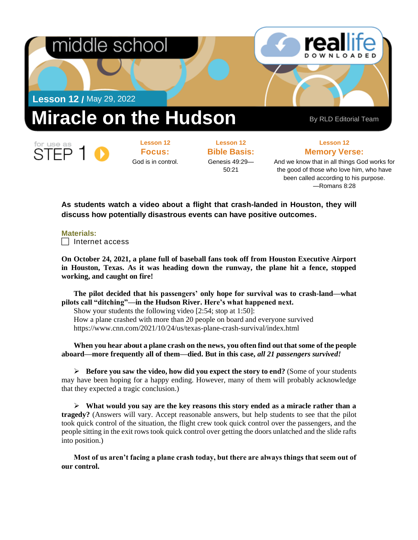

**Focus:**  God is in control. **Bible Basis:** Genesis 49:29— 50:21

**Lesson 12 Memory Verse:**

And we know that in all things God works for the good of those who love him, who have been called according to his purpose. —Romans 8:28

**As students watch a video about a flight that crash-landed in Houston, they will discuss how potentially disastrous events can have positive outcomes.**

## **Materials:**

FP

 $\Box$  Internet access

**On October 24, 2021, a plane full of baseball fans took off from Houston Executive Airport in Houston, Texas. As it was heading down the runway, the plane hit a fence, stopped working, and caught on fire!**

**The pilot decided that his passengers' only hope for survival was to crash-land—what pilots call "ditching"—in the Hudson River. Here's what happened next.** 

Show your students the following video [2:54; stop at 1:50]: How a plane crashed with more than 20 people on board and everyone survived https://www.cnn.com/2021/10/24/us/texas-plane-crash-survival/index.html

## **When you hear about a plane crash on the news, you often find out that some of the people aboard—more frequently all of them—died. But in this case,** *all 21 passengers survived!*

➢ **Before you saw the video, how did you expect the story to end?** (Some of your students may have been hoping for a happy ending. However, many of them will probably acknowledge that they expected a tragic conclusion.)

➢ **What would you say are the key reasons this story ended as a miracle rather than a tragedy?** (Answers will vary. Accept reasonable answers, but help students to see that the pilot took quick control of the situation, the flight crew took quick control over the passengers, and the people sitting in the exit rows took quick control over getting the doors unlatched and the slide rafts into position.)

**Most of us aren't facing a plane crash today, but there are always things that seem out of our control.**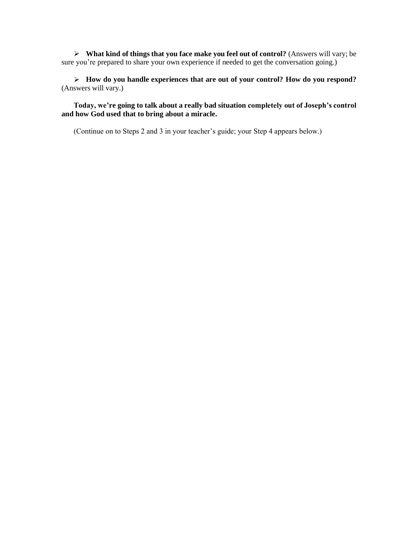➢ **What kind of things that you face make you feel out of control?** (Answers will vary; be sure you're prepared to share your own experience if needed to get the conversation going.)

➢ **How do you handle experiences that are out of your control? How do you respond?** (Answers will vary.)

**Today, we're going to talk about a really bad situation completely out of Joseph's control and how God used that to bring about a miracle.**

(Continue on to Steps 2 and 3 in your teacher's guide; your Step 4 appears below.)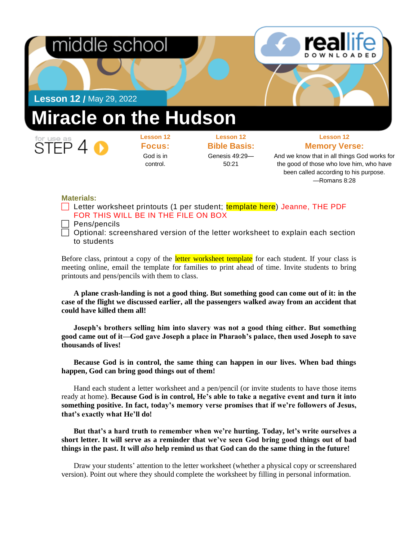



**Lesson 12 /** May 29, 2022

## **Miracle on the Hudson**



**Lesson 12 Focus:**  God is in control.

**Lesson 12 Bible Basis:** Genesis 49:29— 50:21

**Lesson 12 Memory Verse:**

And we know that in all things God works for the good of those who love him, who have been called according to his purpose. —Romans 8:28

## **Materials:**

- Letter worksheet printouts (1 per student; template here) Jeanne, THE PDF FOR THIS WILL BE IN THE FILE ON BOX
- $\Box$  Pens/pencils
- $\Box$  Optional: screenshared version of the letter worksheet to explain each section to students

Before class, printout a copy of the *letter worksheet template* for each student. If your class is meeting online, email the template for families to print ahead of time. Invite students to bring printouts and pens/pencils with them to class.

**A plane crash-landing is not a good thing. But something good can come out of it: in the case of the flight we discussed earlier, all the passengers walked away from an accident that could have killed them all!**

**Joseph's brothers selling him into slavery was not a good thing either. But something good came out of it—God gave Joseph a place in Pharaoh's palace, then used Joseph to save thousands of lives!**

**Because God is in control, the same thing can happen in our lives. When bad things happen, God can bring good things out of them!**

Hand each student a letter worksheet and a pen/pencil (or invite students to have those items ready at home). **Because God is in control, He's able to take a negative event and turn it into something positive. In fact, today's memory verse promises that if we're followers of Jesus, that's exactly what He'll do!**

**But that's a hard truth to remember when we're hurting. Today, let's write ourselves a short letter. It will serve as a reminder that we've seen God bring good things out of bad things in the past. It will** *also* **help remind us that God can do the same thing in the future!**

Draw your students' attention to the letter worksheet (whether a physical copy or screenshared version). Point out where they should complete the worksheet by filling in personal information.